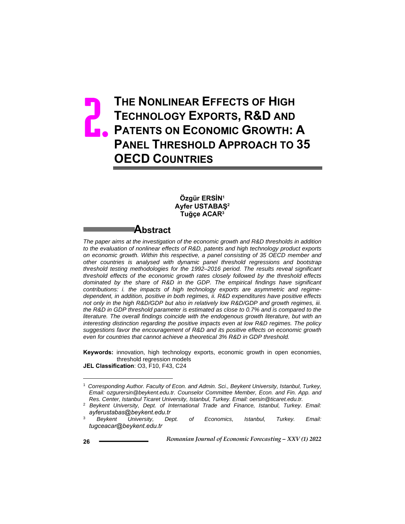# **THE NONLINEAR EFFECTS OF HIGH TECHNOLOGY EXPORTS, R&D AND PATENTS ON ECONOMIC GROWTH: A PANEL THRESHOLD APPROACH TO 35 OECD COUNTRIES** 2.

### **Özgür ERSİN1 Ayfer USTABAŞ<sup>2</sup> Tuğçe ACAR3**

## **Abstract**

*The paper aims at the investigation of the economic growth and R&D thresholds in addition to the evaluation of nonlinear effects of R&D, patents and high technology product exports on economic growth. Within this respective, a panel consisting of 35 OECD member and other countries is analysed with dynamic panel threshold regressions and bootstrap threshold testing methodologies for the 1992–2016 period. The results reveal significant threshold effects of the economic growth rates closely followed by the threshold effects dominated by the share of R&D in the GDP. The empirical findings have significant contributions: i. the impacts of high technology exports are asymmetric and regimedependent, in addition, positive in both regimes, ii. R&D expenditures have positive effects not only in the high R&D/GDP but also in relatively low R&D/GDP and growth regimes, iii. the R&D in GDP threshold parameter is estimated as close to 0.7% and is compared to the*  literature. The overall findings coincide with the endogenous growth literature, but with an *interesting distinction regarding the positive impacts even at low R&D regimes. The policy suggestions favor the encouragement of R&D and its positive effects on economic growth even for countries that cannot achieve a theoretical 3% R&D in GDP threshold.* 

**Keywords:** innovation, high technology exports, economic growth in open economies, threshold regression models **JEL Classification**: O3, F10, F43, C24

<sup>1</sup> *Corresponding Author. Faculty of Econ. and Admin. Sci., Beykent University, Istanbul, Turkey, Email: ozgurersin@beykent.edu.tr. Counselor Committee Member, Econ. and Fin. App. and Res. Center, Istanbul Ticaret University, Istanbul, Turkey. Email: oersin@ticaret.edu.tr.* 

<sup>2</sup> *Beykent University, Dept. of International Trade and Finance, Istanbul, Turkey. Email: ayferustabas@beykent.edu.tr*

<sup>3</sup> *Beykent University, Dept. of Economics, Istanbul, Turkey. Email: tugceacar@beykent.edu.tr*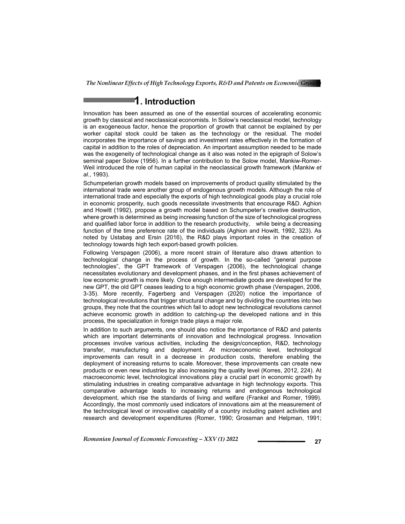## **1. Introduction**

Innovation has been assumed as one of the essential sources of accelerating economic growth by classical and neoclassical economists. In Solow's neoclassical model, technology is an exogeneous factor, hence the proportion of growth that cannot be explained by per worker capital stock could be taken as the technology or the residual. The model incorporates the importance of savings and investment rates effectively in the formation of capital in addition to the roles of depreciation. An important assumption needed to be made was the exogeneity of technological change as it also was noted in the epigraph of Solow's seminal paper Solow (1956). In a further contribution to the Solow model, Mankiw-Romer-Weil introduced the role of human capital in the neoclassical growth framework (Mankiw *et al*., 1993).

Schumpeterian growth models based on improvements of product quality stimulated by the international trade were another group of endogenous growth models. Although the role of international trade and especially the exports of high technological goods play a crucial role in economic prosperity, such goods necessitate investments that encourage R&D. Aghion and Howitt (1992), propose a growth model based on Schumpeter's creative destruction, where growth is determined as being increasing function of the size of technological progress and qualified labor force in addition to the research productivity, while being a decreasing function of the time preference rate of the individuals (Aghion and Howitt, 1992, 323). As noted by Ustabaş and Ersin (2016), the R&D plays important roles in the creation of technology towards high tech export-based growth policies.

Following Verspagen (2006), a more recent strain of literature also draws attention to technological change in the process of growth. In the so-called "general purpose technologies", the GPT framework of Verspagen (2006), the technological change necessitates evolutionary and development phases, and in the first phases achievement of low economic growth is more likely. Once enough intermediate goods are developed for the new GPT, the old GPT ceases leading to a high economic growth phase (Verspagen, 2006, 3-35). More recently, Fagerberg and Verspagen (2020) notice the importance of technological revolutions that trigger structural change and by dividing the countries into two groups, they note that the countries which fail to adopt new technological revolutions cannot achieve economic growth in addition to catching-up the developed nations and in this process, the specialization in foreign trade plays a major role.

In addition to such arguments, one should also notice the importance of R&D and patents which are important determinants of innovation and technological progress. Innovation processes involve various activities, including the design/conception, R&D, technology transfer, manufacturing and deployment. At microeconomic level, technological improvements can result in a decrease in production costs, therefore enabling the deployment of increasing returns to scale. Moreover, these improvements can create new products or even new industries by also increasing the quality level (Korres, 2012, 224). At macroeconomic level, technological innovations play a crucial part in economic growth by stimulating industries in creating comparative advantage in high technology exports. This comparative advantage leads to increasing returns and endogenous technological development, which rise the standards of living and welfare (Frankel and Romer, 1999). Accordingly, the most commonly used indicators of innovations aim at the measurement of the technological level or innovative capability of a country including patent activities and research and development expenditures (Romer, 1990; Grossman and Helpman, 1991;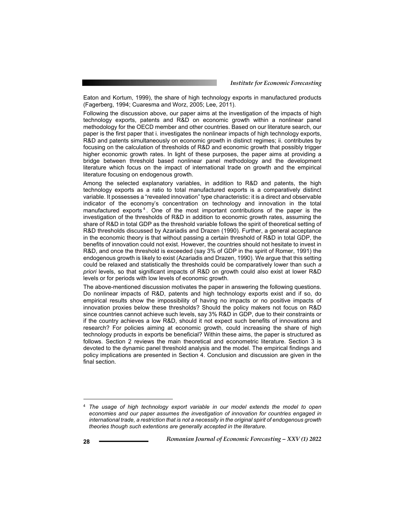Eaton and Kortum, 1999), the share of high technology exports in manufactured products (Fagerberg, 1994; Cuaresma and Worz, 2005; Lee, 2011).

Following the discussion above, our paper aims at the investigation of the impacts of high technology exports, patents and R&D on economic growth within a nonlinear panel methodology for the OECD member and other countries. Based on our literature search, our paper is the first paper that i. investigates the nonlinear impacts of high technology exports, R&D and patents simultaneously on economic growth in distinct regimes; ii. contributes by focusing on the calculation of thresholds of R&D and economic growth that possibly trigger higher economic growth rates. In light of these purposes, the paper aims at providing a bridge between threshold based nonlinear panel methodology and the development literature which focus on the impact of international trade on growth and the empirical literature focusing on endogenous growth.

Among the selected explanatory variables, in addition to R&D and patents, the high technology exports as a ratio to total manufactured exports is a comparatively distinct variable. It possesses a "revealed innovation" type characteristic: it is a direct and observable indicator of the economy's concentration on technology and innovation in the total manufactured exports <sup>4</sup> . One of the most important contributions of the paper is the investigation of the thresholds of R&D in addition to economic growth rates, assuming the share of R&D in total GDP as the threshold variable follows the spirit of theoretical setting of R&D thresholds discussed by Azariadis and Drazen (1990). Further, a general acceptance in the economic theory is that without passing a certain threshold of R&D in total GDP, the benefits of innovation could not exist. However, the countries should not hesitate to invest in R&D, and once the threshold is exceeded (say 3% of GDP in the spirit of Romer, 1991) the endogenous growth is likely to exist (Azariadis and Drazen, 1990). We argue that this setting could be relaxed and statistically the thresholds could be comparatively lower than such *a priori* levels, so that significant impacts of R&D on growth could also exist at lower R&D levels or for periods with low levels of economic growth.

The above-mentioned discussion motivates the paper in answering the following questions. Do nonlinear impacts of R&D, patents and high technology exports exist and if so, do empirical results show the impossibility of having no impacts or no positive impacts of innovation proxies below these thresholds? Should the policy makers not focus on R&D since countries cannot achieve such levels, say 3% R&D in GDP, due to their constraints or if the country achieves a low R&D, should it not expect such benefits of innovations and research? For policies aiming at economic growth, could increasing the share of high technology products in exports be beneficial? Within these aims, the paper is structured as follows. Section 2 reviews the main theoretical and econometric literature. Section 3 is devoted to the dynamic panel threshold analysis and the model. The empirical findings and policy implications are presented in Section 4. Conclusion and discussion are given in the final section.

<sup>4</sup> *The usage of high technology export variable in our model extends the model to open economies and our paper assumes the investigation of innovation for countries engaged in international trade, a restriction that is not a necessity in the original spirit of endogenous growth theories though such extentions are generally accepted in the literature.*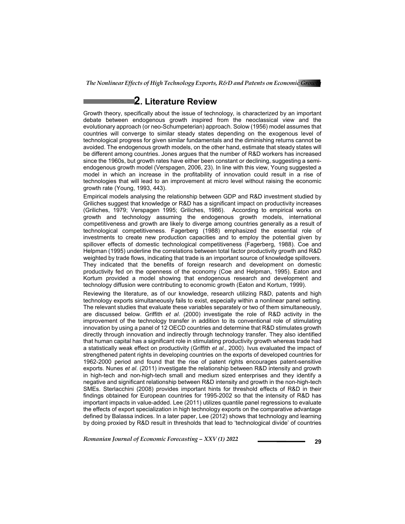## **2. Literature Review**

Growth theory, specifically about the issue of technology, is characterized by an important debate between endogenous growth inspired from the neoclassical view and the evolutionary approach (or neo-Schumpeterian) approach. Solow (1956) model assumes that countries will converge to similar steady states depending on the exogenous level of technological progress for given similar fundamentals and the diminishing returns cannot be avoided. The endogenous growth models, on the other hand, estimate that steady states will be different among countries. Jones argues that the number of R&D workers has increased since the 1960s, but growth rates have either been constant or declining, suggesting a semiendogenous growth model (Verspagen, 2006, 23). In line with this view, Young suggested a model in which an increase in the profitability of innovation could result in a rise of technologies that will lead to an improvement at micro level without raising the economic growth rate (Young, 1993, 443).

Empirical models analysing the relationship between GDP and R&D investment studied by Griliches suggest that knowledge or R&D has a significant impact on productivity increases (Griliches, 1979; Verspagen 1995; Griliches, 1986). According to empirical works on growth and technology assuming the endogenous growth models, international competitiveness and growth are likely to diverge among countries generally as a result of technological competitiveness. Fagerberg (1988) emphasized the essential role of investments to create new production capacities and to employ the potential given by spillover effects of domestic technological competitiveness (Fagerberg, 1988). Coe and Helpman (1995) underline the correlations between total factor productivity growth and R&D weighted by trade flows, indicating that trade is an important source of knowledge spillovers. They indicated that the benefits of foreign research and development on domestic productivity fed on the openness of the economy (Coe and Helpman, 1995). Eaton and Kortum provided a model showing that endogenous research and development and technology diffusion were contributing to economic growth (Eaton and Kortum, 1999).

Reviewing the literature, as of our knowledge, research utilizing R&D, patents and high technology exports simultaneously fails to exist, especially within a nonlinear panel setting. The relevant studies that evaluate these variables separately or two of them simultaneously, are discussed below. Griffith *et al*. (2000) investigate the role of R&D activity in the improvement of the technology transfer in addition to its conventional role of stimulating innovation by using a panel of 12 OECD countries and determine that R&D stimulates growth directly through innovation and indirectly through technology transfer. They also identified that human capital has a significant role in stimulating productivity growth whereas trade had a statistically weak effect on productivity (Griffith *et al*., 2000). Ivus evaluated the impact of strengthened patent rights in developing countries on the exports of developed countries for 1962-2000 period and found that the rise of patent rights encourages patent-sensitive exports. Nunes *et al*. (2011) investigate the relationship between R&D intensity and growth in high-tech and non-high-tech small and medium sized enterprises and they identify a negative and significant relationship between R&D intensity and growth in the non-high-tech SMEs. Sterlacchini (2008) provides important hints for threshold effects of R&D in their findings obtained for European countries for 1995-2002 so that the intensity of R&D has important impacts in value-added. Lee (2011) utilizes quantile panel regressions to evaluate the effects of export specialization in high technology exports on the comparative advantage defined by Balassa indices. In a later paper, Lee (2012) shows that technology and learning by doing proxied by R&D result in thresholds that lead to 'technological divide' of countries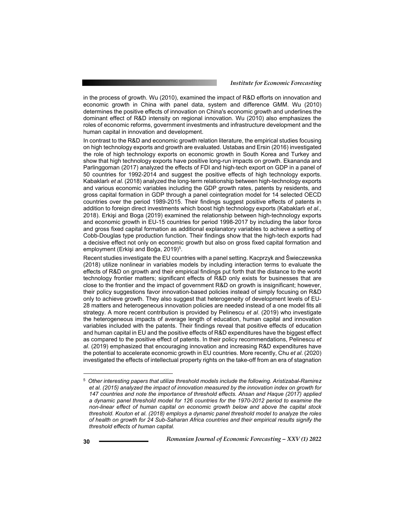in the process of growth. Wu (2010), examined the impact of R&D efforts on innovation and economic growth in China with panel data, system and difference GMM. Wu (2010) determines the positive effects of innovation on China's economic growth and underlines the dominant effect of R&D intensity on regional innovation. Wu (2010) also emphasizes the roles of economic reforms, government investments and infrastructure development and the human capital in innovation and development.

In contrast to the R&D and economic growth relation literature, the empirical studies focusing on high technology exports and growth are evaluated. Ustabas and Ersin (2016) investigated the role of high technology exports on economic growth in South Korea and Turkey and show that high technology exports have positive long-run impacts on growth. Ekananda and Parlinggoman (2017) analyzed the effects of FDI and high-tech export on GDP in a panel of 50 countries for 1992-2014 and suggest the positive effects of high technology exports. Kabaklarlı *et al.* (2018) analyzed the long-term relationship between high-technology exports and various economic variables including the GDP growth rates, patents by residents, and gross capital formation in GDP through a panel cointegration model for 14 selected OECD countries over the period 1989-2015. Their findings suggest positive effects of patents in addition to foreign direct investments which boost high technology exports (Kabaklarlı *et al*., 2018). Erkişi and Boga (2019) examined the relationship between high-technology exports and economic growth in EU-15 countries for period 1998-2017 by including the labor force and gross fixed capital formation as additional explanatory variables to achieve a setting of Cobb-Douglas type production function. Their findings show that the high-tech exports had a decisive effect not only on economic growth but also on gross fixed capital formation and employment (Erkişi and Boğa, 2019)<sup>5</sup>.

Recent studies investigate the EU countries with a panel setting. Kacprzyk and Świeczewska (2018) utilize nonlinear in variables models by including interaction terms to evaluate the effects of R&D on growth and their empirical findings put forth that the distance to the world technology frontier matters; significant effects of R&D only exists for businesses that are close to the frontier and the impact of government R&D on growth is insignificant; however, their policy suggestions favor innovation-based policies instead of simply focusing on R&D only to achieve growth. They also suggest that heterogeneity of development levels of EU-28 matters and heterogeneous innovation policies are needed instead of a one model fits all strategy. A more recent contribution is provided by Pelinescu *et al*. (2019) who investigate the heterogeneous impacts of average length of education, human capital and innovation variables included with the patents. Their findings reveal that positive effects of education and human capital in EU and the positive effects of R&D expenditures have the biggest effect as compared to the positive effect of patents. In their policy recommendations, Pelinescu *et al*. (2019) emphasized that encouraging innovation and increasing R&D expenditures have the potential to accelerate economic growth in EU countries. More recently, Chu *et al*. (2020) investigated the effects of intellectual property rights on the take-off from an era of stagnation

<sup>5</sup> *Other interesting papers that utilize threshold models include the following. Aristizabal-Ramirez et al. (2015) analyzed the impact of innovation measured by the innovation index on growth for 147 countries and note the importance of threshold effects. Ahsan and Haque (2017) applied a dynamic panel threshold model for 126 countries for the 1970-2012 period to examine the non-linear effect of human capital on economic growth below and above the capital stock threshold. Kouton et al. (2018) employs a dynamic panel threshold model to analyze the roles of health on growth for 24 Sub-Saharan Africa countries and their empirical results signify the threshold effects of human capital.*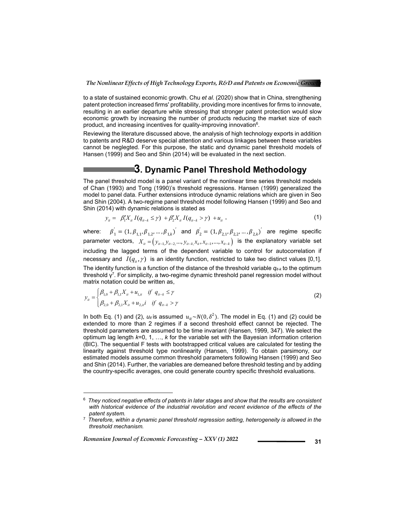to a state of sustained economic growth. Chu *et al*. (2020) show that in China, strengthening patent protection increased firms' profitability, providing more incentives for firms to innovate, resulting in an earlier departure while stressing that stronger patent protection would slow economic growth by increasing the number of products reducing the market size of each product, and increasing incentives for quality-improving innovation<sup>6</sup>.

Reviewing the literature discussed above, the analysis of high technology exports in addition to patents and R&D deserve special attention and various linkages between these variables cannot be neglegted. For this purpose, the static and dynamic panel threshold models of Hansen (1999) and Seo and Shin (2014) will be evaluated in the next section.

## **3. Dynamic Panel Threshold Methodology**

The panel threshold model is a panel variant of the nonlinear time series threshold models of Chan (1993) and Tong (1990)'s threshold regressions. Hansen (1999) generalized the model to panel data. Further extensions introduce dynamic relations which are given in Seo and Shin (2004). A two-regime panel threshold model following Hansen (1999) and Seo and Shin (2014) with dynamic relations is stated as

$$
y_{ii} = \beta_1' X_{ii} I(q_{ii-k} \le \gamma) + \beta_2' X_{ii} I(q_{ii-k} > \gamma) + u_{ii} \tag{1}
$$

where:  $\beta_1^{'} = (1, \beta_{1,1}, \beta_{1,2}, \dots, \beta_{1,k})^{'}$  and  $\beta_2^{'} = (1, \beta_{2,1}, \beta_{2,2}, \dots, \beta_{2,k})^{'}$  are regime specific parameter vectors,  $X_{ii} = (y_{ii-1,} y_{ii-2,} ..., y_{ii-k,} x_{ii}, x_{ii-1}, ..., x_{ii-k})$  is the explanatory variable set including the lagged terms of the dependent variable to control for autocorrelation if necessary and  $I(q_i, \gamma)$  is an identity function, restricted to take two distinct values [0,1]. The identity function is a function of the distance of the threshold variable  $q_{it-k}$  to the optimum threshold  $\gamma^7$ . For simplicity, a two-regime dynamic threshold panel regression model without matrix notation could be written as,

$$
y_{ii} = \begin{cases} \beta_{1,0} + \beta_{1,1} X_{ii} + u_{1,ii} & \text{if } q_{ii-k} \le \gamma \\ \beta_{2,0} + \beta_{2,1} X_{ii} + u_{2,ii} & \text{if } q_{ii-k} > \gamma \end{cases}
$$
 (2)

In both Eq. (1) and (2),  $u_{it}$  is assumed  $u_{it} \sim N(0, \delta^2)$ . The model in Eq. (1) and (2) could be extended to more than 2 regimes if a second threshold effect cannot be rejected. The threshold parameters are assumed to be time invariant (Hansen, 1999, 347). We select the optimum lag length *k*=0, 1, …, *k* for the variable set with the Bayesian information criterion (BIC). The sequential F tests with bootstrapped critical values are calculated for testing the linearity against threshold type nonlinearity (Hansen, 1999). To obtain parsimony, our estimated models assume common threshold parameters following Hansen (1999) and Seo and Shin (2014). Further, the variables are demeaned before threshold testing and by adding the country-specific averages, one could generate country specific threshold evaluations.

*Romanian Journal of Economic Forecasting – XXV (1) 2022* **1988 1988 1989 1989** 

<sup>6</sup> *They noticed negative effects of patents in later stages and show that the results are consistent*  with historical evidence of the industrial revolution and recent evidence of the effects of the *patent system.*

<sup>7</sup> *Therefore, within a dynamic panel threshold regression setting, heterogeneity is allowed in the threshold mechanism.*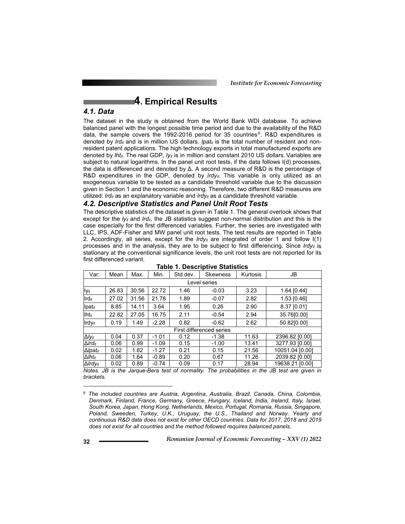## **4. Empirical Results**

### *4.1. Data*

The dataset in the study is obtained from the World Bank WDI database. To achieve balanced panel with the longest possible time period and due to the availability of the R&D data, the sample covers the 1992-2016 period for 35 countries<sup>8</sup>. R&D expenditures is denoted by *lrd<sub>it</sub>* and is in million US dollars. *lpat<sub>it</sub>* is the total number of resident and nonresident patent applications. The high technology exports in total manufactured exports are denoted by *lhtit*. The real GDP, *lyit* is in million and constant 2010 US dollars. Variables are subject to natural logarithms. In the panel unit root tests, if the data follows I(d) processes, the data is differenced and denoted by Δ. A second measure of R&D is the percentage of R&D expenditures in the GDP, denoted by  $lrdy_{it}$ . This variable is only utilized as an exogeneous variable to be tested as a candidate threshold variable due to the discussion given in Section 1 and the economic reasoning. Therefore, two different R&D measures are utilized: *lrdit* as an explanatory variable and *lrdy<sub>it</sub>* as a candidate threshold variable.

### *4.2. Descriptive Statistics and Panel Unit Root Tests*

The descriptive statistics of the dataset is given in Table 1. The general overlook shows that except for the *ly<sub>it</sub>* and *lrd<sub>it</sub>*, the JB statistics suggest non-normal distribution and this is the case especially for the first differenced variables. Further, the series are investigated with LLC, IPS, ADF-Fisher and MW panel unit root tests. The test results are reported in Table 2. Accordingly, all series, except for the *lrdy<sub>it</sub>* are integrated of order 1 and follow  $I(1)$ processes and in the analysis, they are to be subject to first differencing. Since  $lrdy_{it}$  is stationary at the conventional significance levels, the unit root tests are not reported for its first differenced variant.

| Var:                        | Mean  | Max.  | Min.    | Std.dev. | <b>Skewness</b> | Kurtosis | JB              |
|-----------------------------|-------|-------|---------|----------|-----------------|----------|-----------------|
| Level series                |       |       |         |          |                 |          |                 |
| lyit                        | 26.83 | 30.56 | 22.72   | 1.46     | $-0.03$         | 3.23     | 1.64 [0.44]     |
| Irdit                       | 27.02 | 31.56 | 21.78   | 1.89     | $-0.07$         | 2.82     | 1.53 [0.46]     |
| Ipatit                      | 8.85  | 14.11 | 3.64    | 1.95     | 0.26            | 2.90     | 8.37 [0.01]     |
| <b>Iht</b> <sub>it</sub>    | 22.82 | 27.05 | 16.75   | 2.11     | $-0.54$         | 2.94     | 35.76[0.00]     |
| Irdyit                      | 0.19  | 1.49  | $-2.28$ | 0.82     | $-0.62$         | 2.62     | 50.82[0.00]     |
| First differenced series    |       |       |         |          |                 |          |                 |
| $\Delta$ lyit               | 0.04  | 0.37  | $-1.01$ | 0.12     | $-1.38$         | 11.63    | 2396.82 [0.00]  |
| $\Delta I$ rd <sub>it</sub> | 0.06  | 0.99  | $-1.09$ | 0.15     | $-1.00$         | 13.41    | 3277.93 [0.00]  |
| ∆lpat <sub>it</sub>         | 0.02  | 1.82  | $-1.27$ | 0.21     | 0.15            | 21.56    | 10051.04 [0.00] |
| $\Delta$ Ihtit              | 0.06  | 1.64  | $-0.89$ | 0.20     | 0.67            | 11.26    | 2039.82 [0.00]  |
| $\Delta$ Ird $V$ it         | 0.02  | 0.89  | $-0.74$ | 0.09     | 0.17            | 28.94    | 19638.21 [0.00] |

**Table 1. Descriptive Statistics** 

*Notes. JB is the Jarque-Bera test of normality. The probabilities in the JB test are given in brackets.* 

<sup>8</sup> *The included countries are Austria, Argentina, Australia, Brazil, Canada, China, Colombia, Denmark, Finland, France, Germany, Greece, Hungary, Iceland, India, Ireland, Italy, Israel, South Korea, Japan, Hong Kong, Netherlands, Mexico, Portugal, Romania, Russia, Singapore, Poland, Sweeden, Turkey, U.K., Uruguay, the U.S., Thailand and Norway. Yearly and continuous R&D data does not exist for other OECD countries. Data for 2017, 2018 and 2019 does not exist for all countries and the method followed requires balanced panels.*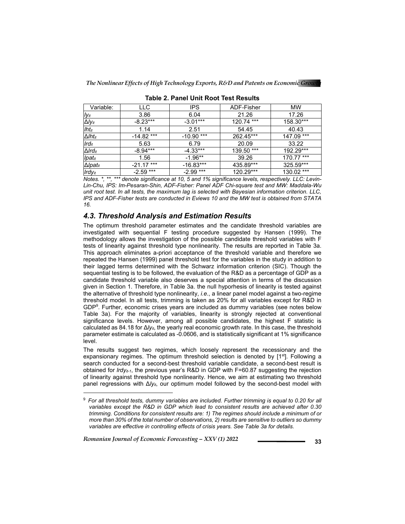| Variable:                     | LLC              | <b>IPS</b>   | ADF-Fisher | MW              |
|-------------------------------|------------------|--------------|------------|-----------------|
| l y <sub>it</sub>             | 3.86             | 6.04         | 21.26      | 17.26           |
| $\Delta$ lyit                 | $-8.23***$       | $-3.01***$   | 120.74 *** | 158.30***       |
| $Iht_{it}$                    | 1.14             | 2.51         | 54.45      | 40.43           |
| $\triangle$ Iht <sub>it</sub> | $-14.82$ ***     | $-10.90$ *** | 262.45***  | 147.09 ***      |
| $Ird_{it}$                    | 5.63             | 6.79         | 20.09      | 33.22           |
| $\Delta I$ rd <sub>it</sub>   | -8.94***         | $-4.33***$   | 139.50 *** | 192.29***       |
| <b>Ipatit</b>                 | 1.56             | $-1.96**$    | 39.26      | 170.77 ***      |
| $\Delta$ <i>lpatit</i>        | $-21.17***$      | $-16.83***$  | 435.89***  | 325.59***       |
| $Irdy_{it}$                   | $-2.59$ ***<br>. | $-2.99$ ***  | 120.29***  | 130.02 ***<br>. |

**Table 2. Panel Unit Root Test Results** 

*Notes. \*, \*\*, \*\*\* denote significance at 10, 5 and 1% significance levels, respectively. LLC: Levin-Lin-Chu, IPS: Im-Pesaran-Shin, ADF-Fisher: Panel ADF Chi-square test and MW: Maddala-Wu unit root test. In all tests, the maximum lag is selected with Bayesian information criterion. LLC, IPS and ADF-Fisher tests are conducted in Eviews 10 and the MW test is obtained from STATA 16.*

### *4.3. Threshold Analysis and Estimation Results*

The optimum threshold parameter estimates and the candidate threshold variables are investigated with sequential F testing procedure suggested by Hansen (1999). The methodology allows the investigation of the possible candidate threshold variables with F tests of linearity against threshold type nonlinearity. The results are reported in Table 3a. This approach eliminates a-priori acceptance of the threshold variable and therefore we repeated the Hansen (1999) panel threshold test for the variables in the study in addition to their lagged terms determined with the Schwarz information criterion (SIC). Though the sequential testing is to be followed, the evaluation of the R&D as a percentage of GDP as a candidate threshold variable also deserves a special attention in terms of the discussion given in Section 1. Therefore, in Table 3a. the null hyporhesis of linearity is tested against the alternative of threshold type nonlinearity, *i.e*., a linear panel model against a two-regime threshold model. In all tests, trimming is taken as 20% for all variables except for R&D in GDP9 . Further, economic crises years are included as dummy variables (see notes below Table 3a). For the majority of variables, linearity is strongly rejected at conventional significance levels. However, among all possible candidates, the highest F statistic is calculated as 84.18 for Δ*lyit*, the yearly real economic growth rate. In this case, the threshold parameter estimate is calculated as -0.0606, and is statistically significant at 1% significance level.

The results suggest two regimes, which loosely represent the recessionary and the expansionary regimes. The optimum threshold selection is denoted by  $[1<sup>st</sup>]$ . Following a search conducted for a second-best threshold variable candidate, a second-best result is obtained for *lrdyit-1*, the previous year's R&D in GDP with F=60.87 suggesting the rejection of linearity against threshold type nonlinearity. Hence, we aim at estimating two threshold panel regressions with  $\Delta V_{H}$ , our optimum model followed by the second-best model with

*Romanian Journal of Economic Forecasting – XXV (1) 2022* **1988 1988 1989 1989** 

<sup>9</sup> *For all threshold tests, dummy variables are included. Further trimming is equal to 0.20 for all variables except the R&D in GDP which lead to consistent results are achieved after 0.30 trimming. Conditions for consistent results are: 1) The regimes should include a minimum of or more than 30% of the total number of observations, 2) results are sensitive to outliers so dummy variables are effective in controlling effects of crisis years. See Table 3a for details.*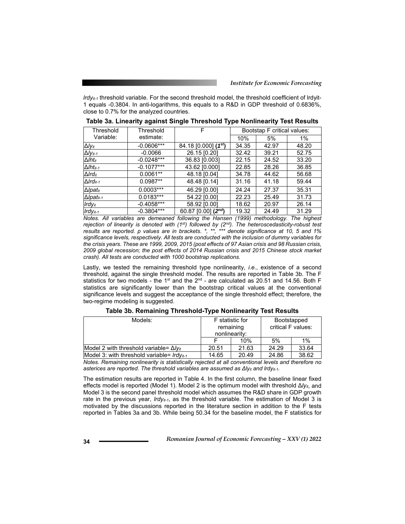*lrdyit-1* threshold variable. For the second threshold model, the threshold coefficient of lrdyit-1 equals -0.3804. In anti-logarithms, this equals to a R&D in GDP threshold of 0.6836%, close to 0.7% for the analyzed countries.

| Threshold                    | Threshold    | F                                  | Bootstap F critical values: |       |       |
|------------------------------|--------------|------------------------------------|-----------------------------|-------|-------|
| Variable:                    | estimate:    |                                    | 10%                         | 5%    | 1%    |
| $\Delta$ lyit                | $-0.0606***$ | $84.18$ [0.000] (1 <sup>st</sup> ) | 34.35                       | 42.97 | 48.20 |
| $\Delta$ /yit-1              | $-0.0066$    | 26.15 [0.20]                       | 32.42                       | 39.21 | 52.75 |
| $\Delta$ Iht <sub>it</sub>   | $-0.0248***$ | 36.83 [0.003]                      | 22.15                       | 24.52 | 33.20 |
| $\Delta$ Iht <sub>it-1</sub> | $-0.1077***$ | 43.62 [0.000]                      | 22.85                       | 28.26 | 36.85 |
| $\Delta$ Ird $_{it}$         | $0.0061**$   | 48.18 [0.04]                       | 34.78                       | 44.62 | 56.68 |
| $\Delta Ird_{it-1}$          | $0.0987**$   | 48.48 [0.14]                       | 31.16                       | 41.18 | 59.44 |
| $\Delta$ Ipatit              | $0.0003***$  | 46.29 [0.00]                       | 24.24                       | 27.37 | 35.31 |
| $\Delta$ Ipatit-1            | $0.0183***$  | 54.22 [0.00]                       | 22.23                       | 25.49 | 31.73 |
| $Irdy_{it}$                  | $-0.4058***$ | 58.92 [0.00]                       | 18.62                       | 20.97 | 26.14 |
| $Irdy_{it-1}$                | $-0.3804***$ | 60.87 [0.00] $(2^{nd})$            | 19.32                       | 24.49 | 31.29 |

**Table 3a. Linearity against Single Threshold Type Nonlinearity Test Results** 

*Notes. All variables are demeaned following the Hansen (1999) methodology. The highest rejection of linearity is denoted with (1st) followed by (2nd). The heteroscedasticity-robust test results are reported. p values are in brackets. \*, \*\*, \*\*\* denote significance at 10, 5 and 1% significance levels, respectively. All tests are conducted with the inclusion of dummy variables for the crisis years. These are 1999, 2009, 2015 (post effects of 97 Asian crisis and 98 Russian crisis, 2009 global recession; the post effects of 2014 Russian crisis and 2015 Chinese stock market crash). All tests are conducted with 1000 bootstrap replications.* 

Lastly, we tested the remaining threshold type nonlinearity, *i.e*., existence of a second threshold, against the single threshold model. The results are reported in Table 3b. The F statistics for two models - the 1<sup>st</sup> and the  $2^{nd}$  - are calculated as 20.51 and 14.56. Both F statistics are significantly lower than the bootstrap critical values at the conventional significance levels and suggest the acceptance of the single threshold effect; therefore, the two-regime modeling is suggested.

| Models:                                          | F statistic for<br>remaining<br>nonlinearity: |       | Bootstapped<br>critical F values: |          |
|--------------------------------------------------|-----------------------------------------------|-------|-----------------------------------|----------|
|                                                  |                                               | 10%   | 5%                                | 1%       |
| Model 2 with threshold variable= $\Delta V_{it}$ | 20.51                                         | 21.63 | 24.29                             | 33.64    |
| Model 3: with threshold variable= $Irdv_{it-1}$  | 14.65                                         | 20.49 | 24.86                             | 38.62    |
| $\cdots$                                         | .                                             | . .   | . .                               | $\cdots$ |

**Table 3b. Remaining Threshold-Type Nonlinearity Test Results** 

*Notes. Remaining nonlinearity is statistically rejected at all conventional levels and therefore no*  asterices are reported. The threshold variables are assumed as  $Δly_{it}$  and *lrdy<sub>it-1</sub>*.

The estimation results are reported in Table 4. In the first column, the baseline linear fixed effects model is reported (Model 1). Model 2 is the optimum model with threshold Δ*lyit*, and Model 3 is the second panel threshold model which assumes the R&D share in GDP growth rate in the previous year, *lrdyit-1*, as the threshold variable. The estimation of Model 3 is motivated by the discussions reported in the literature section in addition to the F tests reported in Tables 3a and 3b. While being 50.34 for the baseline model, the F statistics for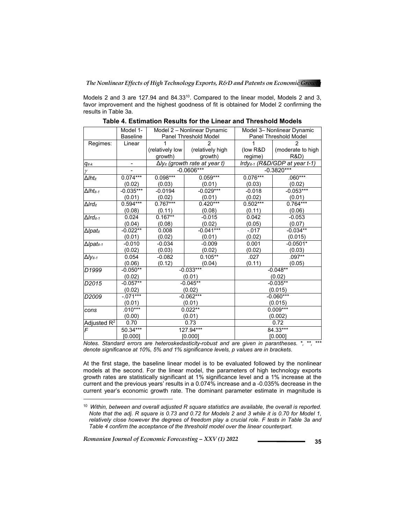Models 2 and 3 are 127.94 and 84.33<sup>10</sup>. Compared to the linear model, Models 2 and 3, favor improvement and the highest goodness of fit is obtained for Model 2 confirming the results in Table 3a.

|                                             | Model 1-                  |                 | Model 2 - Nonlinear Dynamic               | Model 3- Nonlinear Dynamic<br>Panel Threshold Model        |                   |  |  |
|---------------------------------------------|---------------------------|-----------------|-------------------------------------------|------------------------------------------------------------|-------------------|--|--|
|                                             | <b>Baseline</b><br>Linear |                 | Panel Threshold Model                     |                                                            |                   |  |  |
| Regimes:                                    |                           | (relatively low | (relatively high                          | (low R&D)                                                  | (moderate to high |  |  |
|                                             |                           | growth)         | growth)                                   | regime)                                                    | <b>R&amp;D</b> )  |  |  |
|                                             |                           |                 | ∆ly <sub>it</sub> (growth rate at year t) |                                                            |                   |  |  |
| $q_{it-k}$                                  |                           |                 | $-0.0606***$                              | Irdy <sub>it-1</sub> (R&D/GDP at year t-1)<br>$-0.3820***$ |                   |  |  |
| $\gamma$                                    |                           |                 |                                           |                                                            |                   |  |  |
| $\overline{\Delta}$ <i>Iht<sub>it</sub></i> | $0.074***$                | 0.098***        | $0.059***$                                | $0.076***$                                                 | $.060***$         |  |  |
|                                             | (0.02)                    | (0.03)          | (0.01)                                    | (0.03)                                                     | (0.02)            |  |  |
| $\overline{\Delta}$ Iht <sub>it-1</sub>     | $-0.035***$               | $-0.0194$       | $-0.029***$                               | $-0.018$                                                   | $-0.053***$       |  |  |
|                                             | (0.01)                    | (0.02)          | (0.01)                                    | (0.02)                                                     | (0.01)            |  |  |
| $\Delta I$ rd <sub>it</sub>                 | $0.594***$                | $0.767***$      | $0.420***$                                | $0.502***$                                                 | $0.764***$        |  |  |
|                                             | (0.08)                    | (0.11)          | (0.08)                                    | (0.11)                                                     | (0.06)            |  |  |
| $\Delta Ird_{it-1}$                         | 0.024                     | $0.167**$       | $-0.015$                                  | 0.042                                                      | $-0.053$          |  |  |
|                                             | (0.04)                    | (0.08)          | (0.02)                                    | (0.05)                                                     | (0.07)            |  |  |
| $\Delta$ Ipatit                             | $-0.022**$                | 0.008           | $-0.041***$                               | $-0.017$                                                   | $-0.034**$        |  |  |
|                                             | (0.01)                    | (0.02)          | (0.01)                                    | (0.02)                                                     | (0.015)           |  |  |
| $\Delta$ Ipat <sub>it-1</sub>               | $-0.010$                  | $-0.034$        | $-0.009$                                  | 0.001                                                      | $-0.0501*$        |  |  |
|                                             | (0.02)                    | (0.03)          | (0.02)                                    | (0.02)                                                     | (0.03)            |  |  |
| $\Delta l y_{it\text{-}1}$                  | 0.054                     | $-0.082$        | $0.105***$                                | .027                                                       | $.097**$          |  |  |
|                                             | (0.06)                    | (0.12)          | (0.04)                                    | (0.11)                                                     | (0.05)            |  |  |
| D <sub>1999</sub>                           | $-0.050**$                |                 | $-0.033***$                               | $-0.048**$                                                 |                   |  |  |
|                                             | (0.02)                    |                 | (0.01)                                    |                                                            | (0.02)            |  |  |
| D2015                                       | $-0.057**$                | $-0.045**$      |                                           | $-0.035**$                                                 |                   |  |  |
|                                             | (0.02)                    |                 | (0.02)                                    | (0.015)                                                    |                   |  |  |
| $-071***$<br>D <sub>2009</sub>              |                           |                 | $-0.062***$                               | $-0.060***$                                                |                   |  |  |
|                                             | (0.01)                    | (0.01)          |                                           | (0.015)                                                    |                   |  |  |
| cons                                        | $.010***$                 | $0.022**$       |                                           | $0.009***$                                                 |                   |  |  |
|                                             | (0.00)                    | (0.01)          |                                           | (0.002)                                                    |                   |  |  |
| Adjusted R <sup>2</sup>                     | 0.70                      | 0.73            |                                           | 0.72                                                       |                   |  |  |
| $\overline{F}$                              | 50.34***                  |                 | 127.94***                                 | 84.33***                                                   |                   |  |  |
|                                             | [0.000]                   | [0.000]         |                                           | [0.000]                                                    |                   |  |  |

**Table 4. Estimation Results for the Linear and Threshold Models** 

*Notes. Standard errors are heteroskedasticity-robust and are given in parantheses. \*, \*\*, \*\*\* denote significance at 10%, 5% and 1% significance levels, p values are in brackets.* 

At the first stage, the baseline linear model is to be evaluated followed by the nonlinear models at the second. For the linear model, the parameters of high technology exports growth rates are statistically significant at 1% significance level and a 1% increase at the current and the previous years' results in a 0.074% increase and a -0.035% decrease in the current year's economic growth rate. The dominant parameter estimate in magnitude is

*Romanian Journal of Economic Forecasting – XXV (1) 2022* **<sup>35</sup>**

<sup>10</sup> *Within, between and overall adjusted R square statistics are available, the overall is reported. Note that the adj. R square is 0.73 and 0.72 for Models 2 and 3 while it is 0.70 for Model 1, relatively close however the degrees of freedom play a crucial role. F tests in Table 3a and Table 4 confirm the acceptance of the threshold model over the linear counterpart.*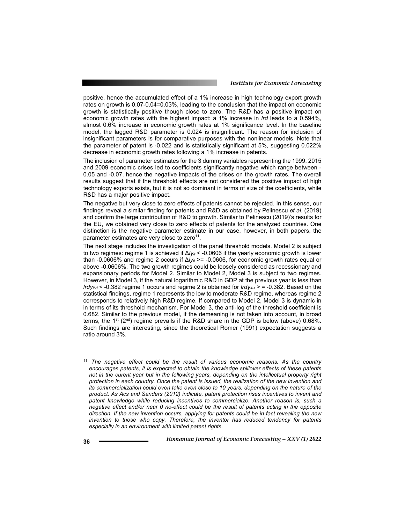positive, hence the accumulated effect of a 1% increase in high technology export growth rates on growth is 0.07-0.04=0.03%, leading to the conclusion that the impact on economic growth is statistically positive though close to zero. The R&D has a positive impact on economic growth rates with the highest impact: a 1% increase in *lrd* leads to a 0.594%, almost 0.6% increase in economic growth rates at 1% significance level. In the baseline model, the lagged R&D parameter is 0.024 is insignificant. The reason for inclusion of insignificant parameters is for comparative purposes with the nonlinear models. Note that the parameter of patent is -0.022 and is statistically significant at 5%, suggesting 0.022% decrease in economic growth rates following a 1% increase in patents.

The inclusion of parameter estimates for the 3 dummy variables representing the 1999, 2015 and 2009 economic crises led to coefficients significantly negative which range between - 0.05 and -0.07, hence the negative impacts of the crises on the growth rates. The overall results suggest that if the threshold effects are not considered the positive impact of high technology exports exists, but it is not so dominant in terms of size of the coefficients, while R&D has a major positive impact.

The negative but very close to zero effects of patents cannot be rejected. In this sense, our findings reveal a similar finding for patents and R&D as obtained by Pelinescu *et al*. (2019) and confirm the large contribution of R&D to growth. Similar to Pelinescu (2019)'s results for the EU, we obtained very close to zero effects of patents for the analyzed countries. One distinction is the negative parameter estimate in our case, however, in both papers, the parameter estimates are very close to zero<sup>11</sup>.

The next stage includes the investigation of the panel threshold models. Model 2 is subject to two regimes: regime 1 is achieved if Δ*lyit* < -0.0606 if the yearly economic growth is lower than -0.0606% and regime 2 occurs if  $Δ/y<sub>it</sub>$  >= -0.0606, for economic growth rates equal or above -0.0606%. The two growth regimes could be loosely considered as recessionary and expansionary periods for Model 2. Similar to Model 2, Model 3 is subject to two regimes. However, in Model 3, if the natural logarithmic R&D in GDP at the previous year is less than *lrdy<sub>it-1</sub> < -*0.382 regime 1 occurs and regime 2 is obtained for *lrdy<sub>it-1</sub>* > = -0.382. Based on the statistical findings, regime 1 represents the low to moderate R&D regime, whereas regime 2 corresponds to relatively high R&D regime. If compared to Model 2, Model 3 is dynamic in in terms of its threshold mechanism. For Model 3, the anti-log of the threshold coefficient is 0.682. Similar to the previous model, if the demeaning is not taken into account, in broad terms, the 1<sup>st</sup> ( $2<sup>nd</sup>$ ) regime prevails if the R&D share in the GDP is below (above) 0.68%. Such findings are interesting, since the theoretical Romer (1991) expectation suggests a ratio around 3%.

<sup>11</sup> *The negative effect could be the result of various economic reasons. As the country encourages patents, it is expected to obtain the knowledge spillover effects of these patents not in the curent year but in the following years, depending on the intellectual property right protection in each country. Once the patent is issued, the realization of the new invention and its commercialization could even take even close to 10 years, depending on the nature of the product. As Acs and Sanders (2012) indicate, patent protection rises incentives to invent and patent knowledge while reducing incentives to commercialize. Another reason is, such a negative effect and/or near 0 no-effect could be the result of patents acting in the opposite direction. If the new invention occurs, applying for patents could be in fact revealing the new invention to those who copy. Therefore, the inventor has reduced tendency for patents especially in an environment with limited patent rights.*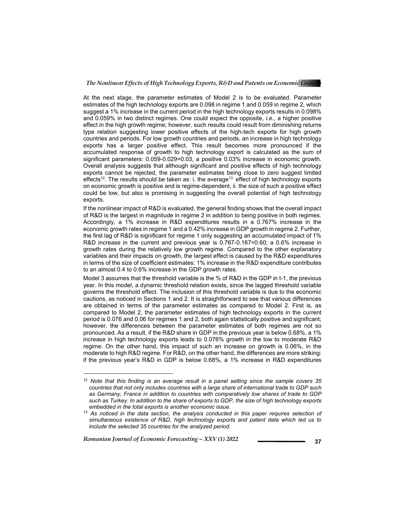At the next stage, the parameter estimates of Model 2 is to be evaluated. Parameter estimates of the high technology exports are 0.098 in regime 1 and 0.059 in regime 2, which suggest a 1% increase in the current period in the high technology exports results in 0.098% and 0.059% in two distinct regimes. One could expect the opposite, *i.e*., a higher positive effect in the high growth regime; however, such results could result from diminishing returns type relation suggesting lower positive effects of the high-tech exports for high growth countries and periods. For low growth countries and periods, an increase in high technology exports has a larger positive effect. This result becomes more pronounced if the accumulated response of growth to high technology export is calculated as the sum of significant parameters: 0.059-0.029=0.03, a positive 0.03% increase in economic growth. Overall analysis suggests that although significant and positive effects of high technology exports cannot be rejected, the parameter estimates being close to zero suggest limited effects<sup>12</sup>. The results should be taken as: i. the average<sup>13</sup> effect of high technology exports on economic growth is positive and is regime-dependent, ii. the size of such a positive effect could be low, but also is promising in suggesting the overall potential of high technology exports.

If the nonlinear impact of R&D is evaluated, the general finding shows that the overall impact of R&D is the largest in magnitude in regime 2 in addition to being positive in both regimes. Accordingly, a 1% increase in R&D expenditures results in a 0.767% increase in the economic growth rates in regime 1 and a 0.42% increase in GDP growth in regime 2. Further, the first lag of R&D is significant for regime 1 only suggesting an accumulated impact of 1% R&D increase in the current and previous year is 0.767-0.167=0.60; a 0.6% increase in growth rates during the relatively low growth regime. Compared to the other explanatory variables and their impacts on growth, the largest effect is caused by the R&D expenditures in terms of the size of coefficient estimates: 1% increase in the R&D expenditure contributes to an almost 0.4 to 0.6% increase in the GDP growth rates.

Model 3 assumes that the threshold variable is the % of R&D in the GDP in t-1, the previous year. In this model, a dynamic threshold relation exists, since the lagged threshold variable governs the threshold effect. The inclusion of this threshold variable is due to the economic cautions, as noticed in Sections 1 and 2. It is straightforward to see that various differences are obtained in terms of the parameter estimates as compared to Model 2. First is, as compared to Model 2, the parameter estimates of high technology exports in the current period is 0.076 and 0.06 for regimes 1 and 2, both again statistically positive and significant; however, the differences between the parameter estimates of both regimes are not so pronounced. As a result, if the R&D share in GDP in the previous year is below 0.68%, a 1% increase in high technology exports leads to 0.076% growth in the low to moderate R&D regime. On the other hand, this impact of such an increase on growth is 0.06%, in the moderate to high R&D regime. For R&D, on the other hand, the differences are more striking: if the previous year's R&D in GDP is below 0.68%, a 1% increase in R&D expenditures

*Romanian Journal of Economic Forecasting – XXV (1) 2022* **<sup>37</sup>**

<sup>12</sup> *Note that this finding is an average result in a panel setting since the sample covers 35 countries that not only includes countries with a large share of international trade to GDP such as Germany, France in addition to countries with comparatively low shares of trade to GDP such as Turkey. In addition to the share of exports to GDP, the size of high technology exports embedded in the total exports is another economic issue.*

<sup>13</sup> *As noticed in the data section, the analysis conducted in this paper requires selection of simultaneous existence of R&D, high technology exports and patent data which led us to include the selected 35 countries for the analyzed period.*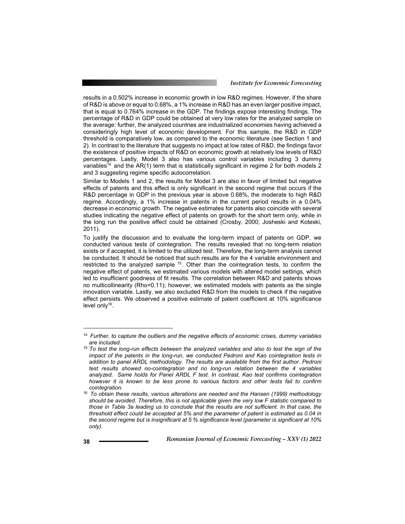results in a 0.502% increase in economic growth in low R&D regimes. However, if the share of R&D is above or equal to 0.68%, a 1% increase in R&D has an even larger positive impact, that is equal to 0.764% increase in the GDP. The findings expose interesting findings. The percentage of R&D in GDP could be obtained at very low rates for the analyzed sample on the average: further, the analyzed countries are industrialized economies having achieved a consideringly high level of economic development. For this sample, the R&D in GDP threshold is comparatively low, as compared to the economic literature (see Section 1 and 2). In contrast to the literature that suggests no impact at low rates of R&D, the findings favor the existence of positive impacts of R&D on economic growth at relatively low levels of R&D percentages. Lastly, Model 3 also has various control variables including 3 dummy variables<sup>14</sup> and the AR(1) term that is statistically significant in regime 2 for both models 2 and 3 suggesting regime specific autocorrelation.

Similar to Models 1 and 2, the results for Model 3 are also in favor of limited but negative effects of patents and this effect is only significant in the second regime that occurs if the R&D percentage in GDP in the previous year is above 0.68%, the moderate to high R&D regime. Accordingly, a 1% increase in patents in the current period results in a 0.04% decrease in economic growth. The negative estimates for patents also coincide with several studies indicating the negative effect of patents on growth for the short term only, while in the long run the positive effect could be obtained (Crosby, 2000; Josheski and Koteski, 2011).

To justify the discussion and to evaluate the long-term impact of patents on GDP, we conducted various tests of cointegration. The results revealed that no long-term relation exists or if accepted, it is limited to the utilized test. Therefore, the long-term analysis cannot be conducted. It should be noticed that such results are for the 4 variable environment and restricted to the analyzed sample <sup>15</sup>. Other than the cointegration tests, to confirm the negative effect of patents, we estimated various models with altered model settings, which led to insufficient goodness of fit results. The correlation between R&D and patents shows no multicollinearity (Rho=0.11); however, we estimated models with patents as the single innovation variable. Lastly, we also excluded R&D from the models to check if the negative effect persists. We observed a positive estimate of patent coefficient at 10% significance level only $16$ .

<sup>14</sup> *Further, to capture the outliers and the negative effects of economic crises, dummy variables are included.*

<sup>15</sup>*To test the long-run effects between the analyzed variables and also to test the sign of the impact of the patents in the long-run, we conducted Pedroni and Kao cointegration tests in addition to panel ARDL methodology. The results are available from the first author. Pedroni test results showed no-cointegration and no long-run relation between the 4 variables analyzed. Same holds for Panel ARDL F test. In contrast, Kao test confirms cointegration however it is known to be less prone to various factors and other tests fail to confirm cointegration.* 

<sup>16</sup> *To obtain these results, various alterations are needed and the Hansen (1999) methodology should be avoided. Therefore, this is not applicable given the very low F statistic compared to those in Table 3a leading us to conclude that the results are not sufficient. In that case, the threshold effect could be accepted at 5% and the parameter of patent is estimated as 0.04 in the second regime but is insignificant at 5 % significance level (parameter is significant at 10% only).*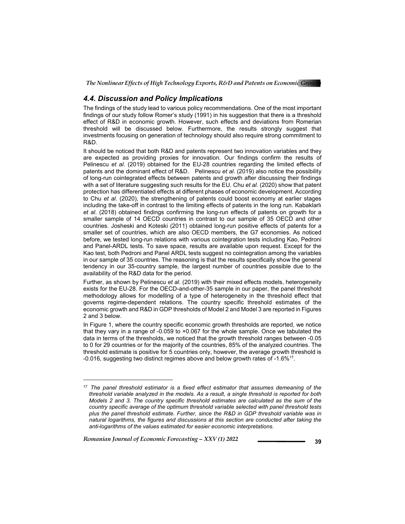### *4.4. Discussion and Policy Implications*

The findings of the study lead to various policy recommendations. One of the most important findings of our study follow Romer's study (1991) in his suggestion that there is a threshold effect of R&D in economic growth. However, such effects and deviations from Romerian threshold will be discussed below. Furthermore, the results strongly suggest that investments focusing on generation of technology should also require strong commitment to R&D.

It should be noticed that both R&D and patents represent two innovation variables and they are expected as providing proxies for innovation. Our findings confirm the results of Pelinescu *et al*. (2019) obtained for the EU-28 countries regarding the limited effects of patents and the dominant effect of R&D. Pelinescu *et al*. (2019) also notice the possibility of long-run cointegrated effects between patents and growth after discussing their findings with a set of literature suggesting such results for the EU. Chu *et al*. (2020) show that patent protection has differentiated effects at different phases of economic development. According to Chu *et al*. (2020), the strengthening of patents could boost economy at earlier stages including the take-off in contrast to the limiting effects of patents in the long run. Kabaklarlı *et al*. (2018) obtained findings confirming the long-run effects of patents on growth for a smaller sample of 14 OECD countries in contrast to our sample of 35 OECD and other countries. Josheski and Koteski (2011) obtained long-run positive effects of patents for a smaller set of countries, which are also OECD members, the G7 economies. As noticed before, we tested long-run relations with various cointegration tests including Kao, Pedroni and Panel-ARDL tests. To save space, results are available upon request. Except for the Kao test, both Pedroni and Panel ARDL tests suggest no cointegration among the variables in our sample of 35 countries. The reasoning is that the results specifically show the general tendency in our 35-country sample, the largest number of countries possible due to the availability of the R&D data for the period.

Further, as shown by Pelinescu *et al*. (2019) with their mixed effects models, heterogeneity exists for the EU-28. For the OECD-and-other-35 sample in our paper, the panel threshold methodology allows for modelling of a type of heterogeneity in the threshold effect that governs regime-dependent relations. The country specific threshold estimates of the economic growth and R&D in GDP thresholds of Model 2 and Model 3 are reported in Figures 2 and 3 below.

In Figure 1, where the country specific economic growth thresholds are reported, we notice that they vary in a range of -0.059 to +0.067 for the whole sample. Once we tabulated the data in terms of the thresholds, we noticed that the growth threshold ranges between -0.05 to 0 for 29 countries or for the majority of the countries, 85% of the analyzed countries. The threshold estimate is positive for 5 countries only, however, the average growth threshold is -0.016, suggesting two distinct regimes above and below growth rates of -1.6%17.

*Romanian Journal of Economic Forecasting – XXV (1) 2022* **1999 1999** 

<sup>17</sup> *The panel threshold estimator is a fixed effect estimator that assumes demeaning of the threshold variable analyzed in the models. As a result, a single threshold is reported for both Models 2 and 3. The country specific threshold estimates are calculated as the sum of the country specific average of the optimum threshold variable selected with panel threshold tests plus the panel threshold estimate. Further, since the R&D in GDP threshold variable was in natural logarithms, the figures and discussions at this section are conducted after taking the anti-logarithms of the values estimated for easier economic interpretations.*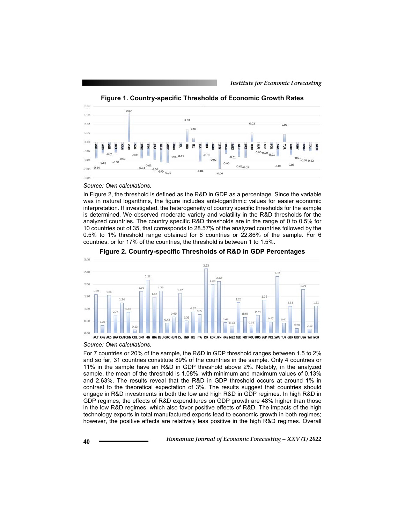

**Figure 1. Country-specific Thresholds of Economic Growth Rates** 

#### *Source: Own calculations.*

In Figure 2, the threshold is defined as the R&D in GDP as a percentage. Since the variable was in natural logarithms, the figure includes anti-logarithmic values for easier economic interpretation. If investigated, the heterogeneity of country specific thresholds for the sample is determined. We observed moderate variety and volatility in the R&D thresholds for the analyzed countries. The country specific R&D thresholds are in the range of 0 to 0.5% for 10 countries out of 35, that corresponds to 28.57% of the analyzed countries followed by the 0.5% to 1% threshold range obtained for 8 countries or 22.86% of the sample. For 6 countries, or for 17% of the countries, the threshold is between 1 to 1.5%.



**Figure 2. Country-specific Thresholds of R&D in GDP Percentages** 

#### *Source: Own calculations.*

For 7 countries or 20% of the sample, the R&D in GDP threshold ranges between 1.5 to 2% and so far, 31 countries constitute 89% of the countries in the sample. Only 4 countries or 11% in the sample have an R&D in GDP threshold above 2%. Notably, in the analyzed sample, the mean of the threshold is 1.08%, with minimum and maximum values of 0.13% and 2.63%. The results reveal that the R&D in GDP threshold occurs at around 1% in contrast to the theoretical expectation of 3%. The results suggest that countries should engage in R&D investments in both the low and high R&D in GDP regimes. In high R&D in GDP regimes, the effects of R&D expenditures on GDP growth are 48% higher than those in the low R&D regimes, which also favor positive effects of R&D. The impacts of the high technology exports in total manufactured exports lead to economic growth in both regimes; however, the positive effects are relatively less positive in the high R&D regimes. Overall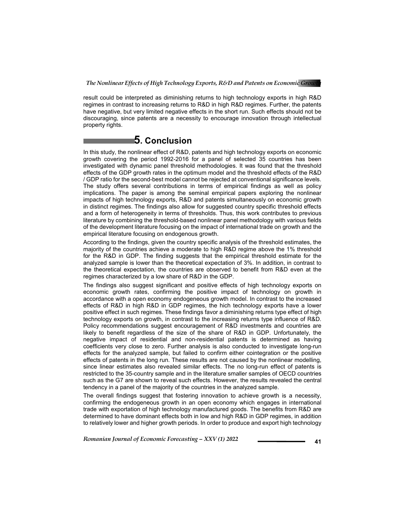result could be interpreted as diminishing returns to high technology exports in high R&D regimes in contrast to increasing returns to R&D in high R&D regimes. Further, the patents have negative, but very limited negative effects in the short run. Such effects should not be discouraging, since patents are a necessity to encourage innovation through intellectual property rights.

## **5. Conclusion**

In this study, the nonlinear effect of R&D, patents and high technology exports on economic growth covering the period 1992-2016 for a panel of selected 35 countries has been investigated with dynamic panel threshold methodologies. It was found that the threshold effects of the GDP growth rates in the optimum model and the threshold effects of the R&D / GDP ratio for the second-best model cannot be rejected at conventional significance levels. The study offers several contributions in terms of empirical findings as well as policy implications. The paper is among the seminal empirical papers exploring the nonlinear impacts of high technology exports, R&D and patents simultaneously on economic growth in distinct regimes. The findings also allow for suggested country specific threshold effects and a form of heterogeneity in terms of thresholds. Thus, this work contributes to previous literature by combining the threshold-based nonlinear panel methodology with various fields of the development literature focusing on the impact of international trade on growth and the empirical literature focusing on endogenous growth.

According to the findings, given the country specific analysis of the threshold estimates, the majority of the countries achieve a moderate to high R&D regime above the 1% threshold for the R&D in GDP. The finding suggests that the empirical threshold estimate for the analyzed sample is lower than the theoretical expectation of 3%. In addition, in contrast to the theoretical expectation, the countries are observed to benefit from R&D even at the regimes characterized by a low share of R&D in the GDP.

The findings also suggest significant and positive effects of high technology exports on economic growth rates, confirming the positive impact of technology on growth in accordance with a open economy endogeneous growth model. In contrast to the increased effects of R&D in high R&D in GDP regimes, the hich technology exports have a lower positive effect in such regimes. These findings favor a diminishing returns type effect of high technology exports on growth, in contrast to the increasing returns type influence of R&D. Policy recommendations suggest encouragement of R&D investments and countries are likely to benefit regardless of the size of the share of R&D in GDP. Unfortunately, the negative impact of residential and non-residential patents is determined as having coefficients very close to zero. Further analysis is also conducted to investigate long-run effects for the analyzed sample, but failed to confirm either cointegration or the positive effects of patents in the long run. These results are not caused by the nonlinear modelling, since linear estimates also revealed similar effects. The no long-run effect of patents is restricted to the 35-country sample and in the literature smaller samples of OECD countries such as the G7 are shown to reveal such effects. However, the results revealed the central tendency in a panel of the majority of the countries in the analyzed sample.

The overall findings suggest that fostering innovation to achieve growth is a necessity, confirming the endogeneous growth in an open economy which engages in international trade with exportation of high technology manufactured goods. The benefits from R&D are determined to have dominant effects both in low and high R&D in GDP regimes, in addition to relatively lower and higher growth periods. In order to produce and export high technology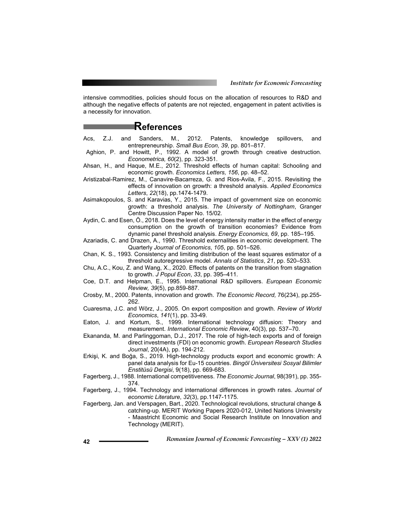intensive commodities, policies should focus on the allocation of resources to R&D and although the negative effects of patents are not rejected, engagement in patent activities is a necessity for innovation.

### **References**

- Acs, Z.J. and Sanders, M., 2012. Patents, knowledge spillovers, and entrepreneurship. *Small Bus Econ, 39*, pp. 801–817.
- Aghion, P. and Howitt, P., 1992. A model of growth through creative destruction. *Econometrica, 60*(2), pp. 323-351.
- Ahsan, H., and Haque, M.E., 2012. Threshold effects of human capital: Schooling and economic growth. *Economics Letters, 156*, pp. 48–52.
- Aristizabal-Ramirez, M., Canavire-Bacarreza, G. and Rios-Avila, F., 2015. Revisiting the effects of innovation on growth: a threshold analysis. *Applied Economics Letters*, *22*(18), pp.1474-1479.
- Asimakopoulos, S. and Karavias, Y., 2015. The impact of government size on economic growth: a threshold analysis. *The University of Nottingham*, Granger Centre Discussion Paper No. 15/02.
- Aydin, C. and Esen, Ö., 2018. Does the level of energy intensity matter in the effect of energy consumption on the growth of transition economies? Evidence from dynamic panel threshold analysis. *Energy Economics, 69*, pp. 185–195.
- Azariadis, C. and Drazen, A., 1990. Threshold externalities in economic development. The Quarterly *Journal of Economics*, *105*, pp. 501–526.
- Chan, K. S., 1993. Consistency and limiting distribution of the least squares estimator of a threshold autoregressive model. *Annals of Statistics*, *21*, pp. 520–533.
- Chu, A.C., Kou, Z. and Wang, X., 2020. Effects of patents on the transition from stagnation to growth. *J Popul Econ*, *33*, pp. 395–411.
- Coe, D.T. and Helpman, E., 1995. International R&D spillovers. *European Economic Review, 39*(5), pp.859-887.
- Crosby, M., 2000. Patents, innovation and growth. *The Economic Record,* 76(234), pp.255- 262.
- Cuaresma, J.C. and Wörz, J., 2005. On export composition and growth. *Review of World Economics*, *141*(1), pp. 33-49.
- Eaton, J. and Kortum, S., 1999. International technology diffusion: Theory and measurement. *International Economic Review*, 40(3), pp. 537–70.
- Ekananda, M. and Parlinggoman, D.J., 2017. The role of high-tech exports and of foreign direct investments (FDI) on economic growth. *European Research Studies Journal*, 20(4A), pp. 194-212.
- Erkişi, K. and Boğa, S., 2019. High-technology products export and economic growth: A panel data analysis for Eu-15 countries. *Bingöl Üniversitesi Sosyal Bilimler Enstitüsü Dergisi*, 9(18), pp. 669-683.
- Fagerberg, J., 1988. International competitiveness. *The Economic Journal*, 98(391), pp. 355- 374.
- Fagerberg, J., 1994. Technology and international differences in growth rates. *Journal of economic Literature*, *32*(3), pp.1147-1175.
- Fagerberg, Jan. and Verspagen, Bart., 2020. Technological revolutions, structural change & catching-up. MERIT Working Papers 2020-012, United Nations University - Maastricht Economic and Social Research Institute on Innovation and Technology (MERIT).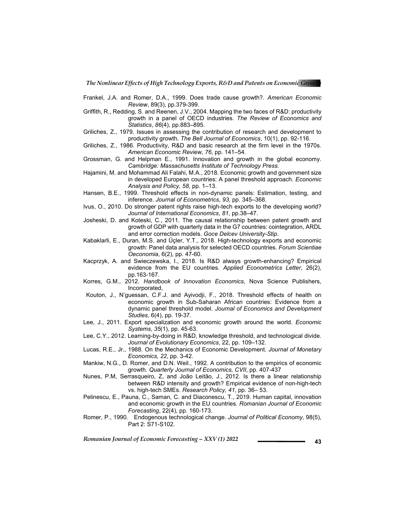- Frankel, J.A. and Romer, D.A., 1999. Does trade cause growth?. *American Economic Review*, 89(3), pp.379-399.
- Griffith, R., Redding, S. and Reenen, J.V., 2004. Mapping the two faces of R&D: productivity growth in a panel of OECD industries. *The Review of Economics and Statistics*, *86*(4), pp.883–895.
- Griliches, Z., 1979. Issues in assessing the contribution of research and development to productivity growth. *The Bell Journal of Economics*, 10(1), pp. 92-116.
- Griliches, Z., 1986. Productivity, R&D and basic research at the firm level in the 1970s. *American Economic Review*, *76*, pp. 141–54.
- Grossman, G. and Helpman E., 1991. Innovation and growth in the global economy. *Cambridge: Massachusetts Institute of Technology Press.*
- Hajamini, M. and Mohammad Ali Falahi, M.A., 2018. Economic growth and government size in developed European countries: A panel threshold approach. *Economic Analysis and Policy, 58,* pp. 1–13.
- Hansen, B.E., 1999. Threshold effects in non-dynamic panels: Estimation, testing, and inference. *Journal of Econometrics*, *93,* pp. 345–368.
- Ivus, O., 2010. Do stronger patent rights raise high-tech exports to the developing world? *Journal of International Economics*, *81*, pp.38–47.
- Josheski, D. and Koteski, C., 2011. The causal relationship between patent growth and growth of GDP with quarterly data in the G7 countries: cointegration, ARDL and error correction models. *Goce Delcev University-Stip*.
- Kabaklarli, E., Duran, M.S. and Üçler, Y.T., 2018. High-technology exports and economic growth: Panel data analysis for selected OECD countries. *Forum Scientiae Oeconomia*, 6(2), pp. 47-60.
- Kacprzyk, A. and Swieczewska, I., 2018. Is R&D always growth-enhancing? Empirical evidence from the EU countries. *Applied Econometrics Letter*, 26(2), pp.163-167.
- Korres, G.M., 2012. *Handbook of Innovation Economics*, Nova Science Publishers, Incorporated,
- Kouton, J., N'guessan, C.F.J. and Ayivodji, F., 2018. Threshold effects of health on economic growth in Sub-Saharan African countries: Evidence from a dynamic panel threshold model. *Journal of Economics and Development Studies*, 6(4), pp. 19-37.
- Lee, J., 2011. Export specialization and economic growth around the world. *Economic Systems*, *35*(1), pp. 45-63.
- Lee, C.Y., 2012. Learning-by-doing in R&D, knowledge threshold, and technological divide. *Journal of Evolutionary Economics*, 22, pp. 109–132.
- Lucas, R.E., Jr., 1988. On the Mechanics of Economic Development. *Journal of Monetary Economics, 22*, pp. 3-42.
- Mankiw, N.G., D. Romer, and D.N. Weil., 1992. A contribution to the empirics of economic growth. *Quarterly Journal of Economics, CVII*, pp. 407-437
- Nunes, P.M, Serrasqueiro, Z, and João Leitão, J., 2012. Is there a linear relationship between R&D intensity and growth? Empirical evidence of non-high-tech vs. high-tech SMEs. *Research Policy, 41*, pp. 36– 53.
- Pelinescu, E., Pauna, C., Saman, C. and Diaconescu, T., 2019. Human capital, innovation and economic growth in the EU countries*. Romanian Journal of Economic Forecasting*, 22(4), pp. 160-173.
- Romer, P., 1990. Endogenous technological change. *Journal of Political Economy*, 98(5), Part 2: S71-S102.